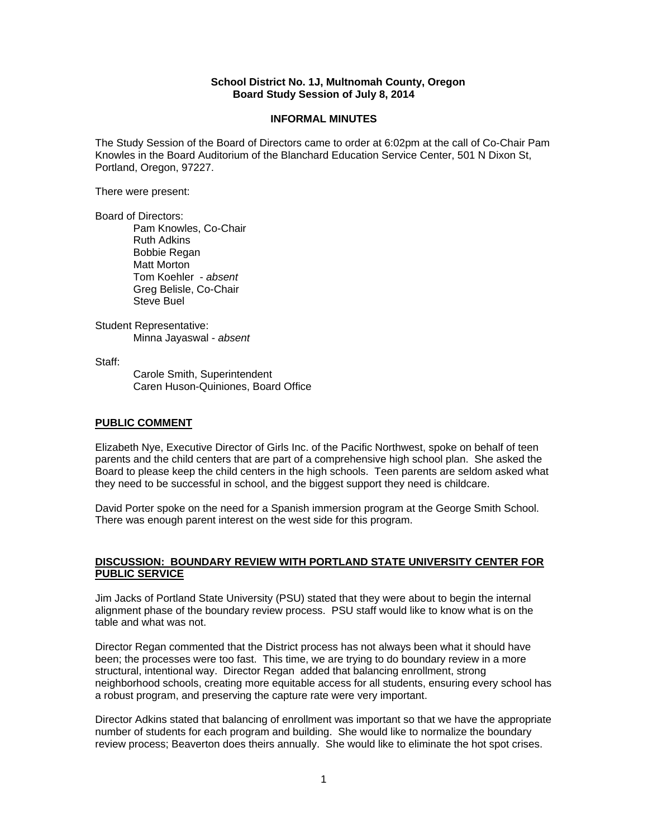### **School District No. 1J, Multnomah County, Oregon Board Study Session of July 8, 2014**

#### **INFORMAL MINUTES**

The Study Session of the Board of Directors came to order at 6:02pm at the call of Co-Chair Pam Knowles in the Board Auditorium of the Blanchard Education Service Center, 501 N Dixon St, Portland, Oregon, 97227.

There were present:

Board of Directors:

Pam Knowles, Co-Chair Ruth Adkins Bobbie Regan Matt Morton Tom Koehler - *absent*  Greg Belisle, Co-Chair Steve Buel

Student Representative: Minna Jayaswal - *absent* 

Staff:

 Carole Smith, Superintendent Caren Huson-Quiniones, Board Office

### **PUBLIC COMMENT**

Elizabeth Nye, Executive Director of Girls Inc. of the Pacific Northwest, spoke on behalf of teen parents and the child centers that are part of a comprehensive high school plan. She asked the Board to please keep the child centers in the high schools. Teen parents are seldom asked what they need to be successful in school, and the biggest support they need is childcare.

David Porter spoke on the need for a Spanish immersion program at the George Smith School. There was enough parent interest on the west side for this program.

## **DISCUSSION: BOUNDARY REVIEW WITH PORTLAND STATE UNIVERSITY CENTER FOR PUBLIC SERVICE**

Jim Jacks of Portland State University (PSU) stated that they were about to begin the internal alignment phase of the boundary review process. PSU staff would like to know what is on the table and what was not.

Director Regan commented that the District process has not always been what it should have been; the processes were too fast. This time, we are trying to do boundary review in a more structural, intentional way. Director Regan added that balancing enrollment, strong neighborhood schools, creating more equitable access for all students, ensuring every school has a robust program, and preserving the capture rate were very important.

Director Adkins stated that balancing of enrollment was important so that we have the appropriate number of students for each program and building. She would like to normalize the boundary review process; Beaverton does theirs annually. She would like to eliminate the hot spot crises.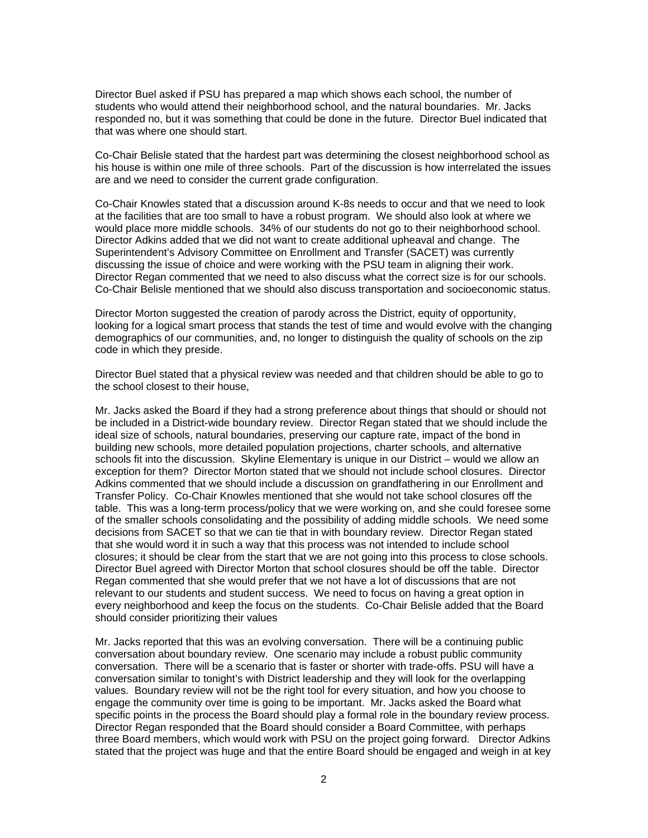Director Buel asked if PSU has prepared a map which shows each school, the number of students who would attend their neighborhood school, and the natural boundaries. Mr. Jacks responded no, but it was something that could be done in the future. Director Buel indicated that that was where one should start.

Co-Chair Belisle stated that the hardest part was determining the closest neighborhood school as his house is within one mile of three schools. Part of the discussion is how interrelated the issues are and we need to consider the current grade configuration.

Co-Chair Knowles stated that a discussion around K-8s needs to occur and that we need to look at the facilities that are too small to have a robust program. We should also look at where we would place more middle schools. 34% of our students do not go to their neighborhood school. Director Adkins added that we did not want to create additional upheaval and change. The Superintendent's Advisory Committee on Enrollment and Transfer (SACET) was currently discussing the issue of choice and were working with the PSU team in aligning their work. Director Regan commented that we need to also discuss what the correct size is for our schools. Co-Chair Belisle mentioned that we should also discuss transportation and socioeconomic status.

Director Morton suggested the creation of parody across the District, equity of opportunity, looking for a logical smart process that stands the test of time and would evolve with the changing demographics of our communities, and, no longer to distinguish the quality of schools on the zip code in which they preside.

Director Buel stated that a physical review was needed and that children should be able to go to the school closest to their house,

Mr. Jacks asked the Board if they had a strong preference about things that should or should not be included in a District-wide boundary review. Director Regan stated that we should include the ideal size of schools, natural boundaries, preserving our capture rate, impact of the bond in building new schools, more detailed population projections, charter schools, and alternative schools fit into the discussion. Skyline Elementary is unique in our District – would we allow an exception for them? Director Morton stated that we should not include school closures. Director Adkins commented that we should include a discussion on grandfathering in our Enrollment and Transfer Policy. Co-Chair Knowles mentioned that she would not take school closures off the table. This was a long-term process/policy that we were working on, and she could foresee some of the smaller schools consolidating and the possibility of adding middle schools. We need some decisions from SACET so that we can tie that in with boundary review. Director Regan stated that she would word it in such a way that this process was not intended to include school closures; it should be clear from the start that we are not going into this process to close schools. Director Buel agreed with Director Morton that school closures should be off the table. Director Regan commented that she would prefer that we not have a lot of discussions that are not relevant to our students and student success. We need to focus on having a great option in every neighborhood and keep the focus on the students. Co-Chair Belisle added that the Board should consider prioritizing their values

Mr. Jacks reported that this was an evolving conversation. There will be a continuing public conversation about boundary review. One scenario may include a robust public community conversation. There will be a scenario that is faster or shorter with trade-offs. PSU will have a conversation similar to tonight's with District leadership and they will look for the overlapping values. Boundary review will not be the right tool for every situation, and how you choose to engage the community over time is going to be important. Mr. Jacks asked the Board what specific points in the process the Board should play a formal role in the boundary review process. Director Regan responded that the Board should consider a Board Committee, with perhaps three Board members, which would work with PSU on the project going forward. Director Adkins stated that the project was huge and that the entire Board should be engaged and weigh in at key